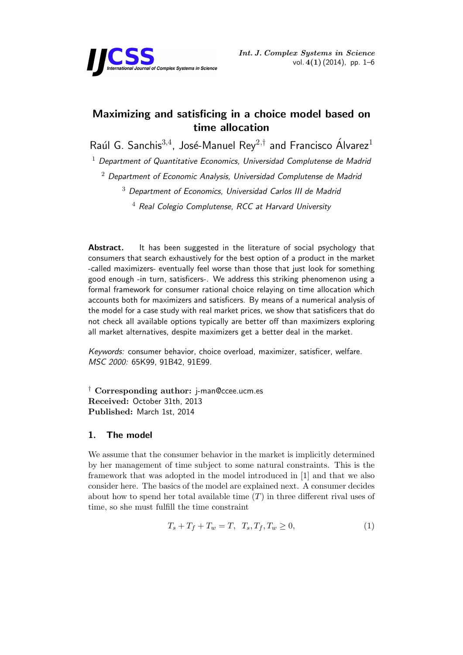

# **Maximizing and satisficing in a choice model based on time allocation**

Raúl G. Sanchis<sup>3,4</sup>, José-Manuel Rey<sup>2,†</sup> and Francisco Álvarez<sup>1</sup>

<sup>1</sup> *Department of Quantitative Economics, Universidad Complutense de Madrid*

<sup>2</sup> *Department of Economic Analysis, Universidad Complutense de Madrid*

<sup>3</sup> *Department of Economics, Universidad Carlos III de Madrid*

<sup>4</sup> *Real Colegio Complutense, RCC at Harvard University*

**Abstract.** It has been suggested in the literature of social psychology that consumers that search exhaustively for the best option of a product in the market -called maximizers- eventually feel worse than those that just look for something good enough -in turn, satisficers-. We address this striking phenomenon using a formal framework for consumer rational choice relaying on time allocation which accounts both for maximizers and satisficers. By means of a numerical analysis of the model for a case study with real market prices, we show that satisficers that do not check all available options typically are better off than maximizers exploring all market alternatives, despite maximizers get a better deal in the market.

*Keywords:* consumer behavior, choice overload, maximizer, satisficer, welfare. *MSC 2000:* 65K99, 91B42, 91E99.

*†* **Corresponding author:** j-man@ccee.ucm.es **Received:** October 31th, 2013 **Published:** March 1st, 2014

## **1. The model**

We assume that the consumer behavior in the market is implicitly determined by her management of time subject to some natural constraints. This is the framework that was adopted in the model introduced in [1] and that we also consider here. The basics of the model are explained next. A consumer decides about how to spend her total available time (*T*) in three different rival uses of time, so she must fulfill the time constraint

$$
T_s + T_f + T_w = T, \ T_s, T_f, T_w \ge 0,
$$
\n(1)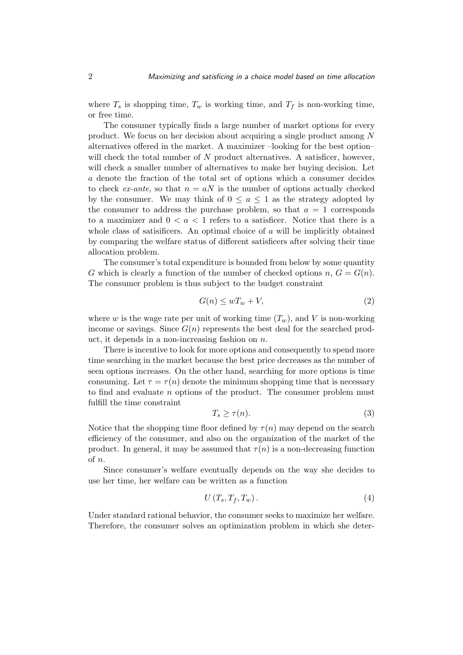where  $T_s$  is shopping time,  $T_w$  is working time, and  $T_f$  is non-working time, or free time.

The consumer typically finds a large number of market options for every product. We focus on her decision about acquiring a single product among *N* alternatives offered in the market. A maximizer –looking for the best option– will check the total number of *N* product alternatives. A satisficer, however, will check a smaller number of alternatives to make her buying decision. Let *a* denote the fraction of the total set of options which a consumer decides to check *ex-ante*, so that  $n = aN$  is the number of options actually checked by the consumer. We may think of  $0 \le a \le 1$  as the strategy adopted by the consumer to address the purchase problem, so that  $a = 1$  corresponds to a maximizer and  $0 < a < 1$  refers to a satisficer. Notice that there is a whole class of satisificers. An optimal choice of *a* will be implicitly obtained by comparing the welfare status of different satisficers after solving their time allocation problem.

The consumer's total expenditure is bounded from below by some quantity *G* which is clearly a function of the number of checked options  $n, G = G(n)$ . The consumer problem is thus subject to the budget constraint

$$
G(n) \le wT_w + V,\tag{2}
$$

where *w* is the wage rate per unit of working time  $(T_w)$ , and *V* is non-working income or savings. Since  $G(n)$  represents the best deal for the searched product, it depends in a non-increasing fashion on *n*.

There is incentive to look for more options and consequently to spend more time searching in the market because the best price decreases as the number of seen options increases. On the other hand, searching for more options is time consuming. Let  $\tau = \tau(n)$  denote the minimum shopping time that is necessary to find and evaluate *n* options of the product. The consumer problem must fulfill the time constraint

$$
T_s \ge \tau(n). \tag{3}
$$

Notice that the shopping time floor defined by  $\tau(n)$  may depend on the search efficiency of the consumer, and also on the organization of the market of the product. In general, it may be assumed that  $\tau(n)$  is a non-decreasing function of *n*.

Since consumer's welfare eventually depends on the way she decides to use her time, her welfare can be written as a function

$$
U\left(T_s, T_f, T_w\right). \tag{4}
$$

Under standard rational behavior, the consumer seeks to maximize her welfare. Therefore, the consumer solves an optimization problem in which she deter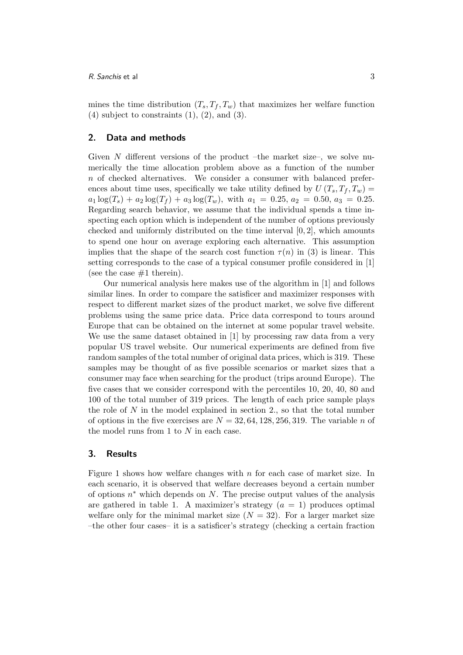mines the time distribution  $(T_s, T_f, T_w)$  that maximizes her welfare function  $(4)$  subject to constraints  $(1)$ ,  $(2)$ , and  $(3)$ .

#### **2. Data and methods**

Given N different versions of the product –the market size–, we solve numerically the time allocation problem above as a function of the number *n* of checked alternatives. We consider a consumer with balanced preferences about time uses, specifically we take utility defined by  $U(T_s, T_f, T_w)$  $a_1 \log(T_s) + a_2 \log(T_f) + a_3 \log(T_w)$ , with  $a_1 = 0.25, a_2 = 0.50, a_3 = 0.25$ . Regarding search behavior, we assume that the individual spends a time inspecting each option which is independent of the number of options previously checked and uniformly distributed on the time interval [0*,* 2], which amounts to spend one hour on average exploring each alternative. This assumption implies that the shape of the search cost function  $\tau(n)$  in (3) is linear. This setting corresponds to the case of a typical consumer profile considered in [1] (see the case  $#1$  therein).

Our numerical analysis here makes use of the algorithm in [1] and follows similar lines. In order to compare the satisficer and maximizer responses with respect to different market sizes of the product market, we solve five different problems using the same price data. Price data correspond to tours around Europe that can be obtained on the internet at some popular travel website. We use the same dataset obtained in [1] by processing raw data from a very popular US travel website. Our numerical experiments are defined from five random samples of the total number of original data prices, which is 319. These samples may be thought of as five possible scenarios or market sizes that a consumer may face when searching for the product (trips around Europe). The five cases that we consider correspond with the percentiles 10, 20, 40, 80 and 100 of the total number of 319 prices. The length of each price sample plays the role of *N* in the model explained in section 2., so that the total number of options in the five exercises are  $N = 32, 64, 128, 256, 319$ . The variable *n* of the model runs from 1 to *N* in each case.

#### **3. Results**

Figure 1 shows how welfare changes with *n* for each case of market size. In each scenario, it is observed that welfare decreases beyond a certain number of options *n ∗* which depends on *N*. The precise output values of the analysis are gathered in table 1. A maximizer's strategy  $(a = 1)$  produces optimal welfare only for the minimal market size  $(N = 32)$ . For a larger market size –the other four cases– it is a satisficer's strategy (checking a certain fraction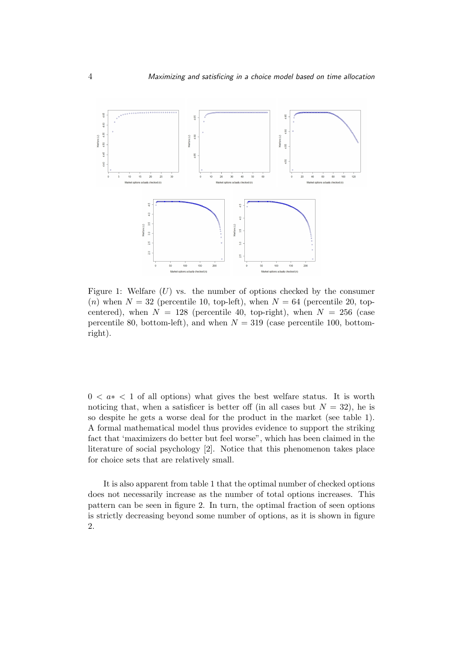

Figure 1: Welfare  $(U)$  vs. the number of options checked by the consumer (*n*) when  $N = 32$  (percentile 10, top-left), when  $N = 64$  (percentile 20, topcentered), when  $N = 128$  (percentile 40, top-right), when  $N = 256$  (case percentile 80, bottom-left), and when  $N = 319$  (case percentile 100, bottomright).

0 *< a∗ <* 1 of all options) what gives the best welfare status. It is worth noticing that, when a satisficer is better off (in all cases but  $N = 32$ ), he is so despite he gets a worse deal for the product in the market (see table 1). A formal mathematical model thus provides evidence to support the striking fact that 'maximizers do better but feel worse", which has been claimed in the literature of social psychology [2]. Notice that this phenomenon takes place for choice sets that are relatively small.

It is also apparent from table 1 that the optimal number of checked options does not necessarily increase as the number of total options increases. This pattern can be seen in figure 2. In turn, the optimal fraction of seen options is strictly decreasing beyond some number of options, as it is shown in figure 2.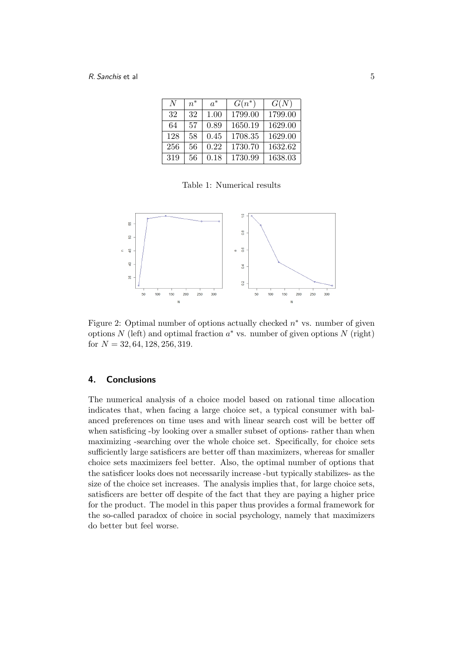| N   | $n^*$ | $a^*$ | $G(n^*)$ | G(N)    |
|-----|-------|-------|----------|---------|
| 32  | 32    | 1.00  | 1799.00  | 1799.00 |
| 64  | 57    | 0.89  | 1650.19  | 1629.00 |
| 128 | 58    | 0.45  | 1708.35  | 1629.00 |
| 256 | 56    | 0.22  | 1730.70  | 1632.62 |
| 319 | 56    | 0.18  | 1730.99  | 1638.03 |

Table 1: Numerical results



Figure 2: Optimal number of options actually checked *n ∗* vs. number of given options *N* (left) and optimal fraction *a ∗* vs. number of given options *N* (right) for *N* = 32*,* 64*,* 128*,* 256*,* 319.

#### **4. Conclusions**

The numerical analysis of a choice model based on rational time allocation indicates that, when facing a large choice set, a typical consumer with balanced preferences on time uses and with linear search cost will be better off when satisficing -by looking over a smaller subset of options- rather than when maximizing -searching over the whole choice set. Specifically, for choice sets sufficiently large satisficers are better off than maximizers, whereas for smaller choice sets maximizers feel better. Also, the optimal number of options that the satisficer looks does not necessarily increase -but typically stabilizes- as the size of the choice set increases. The analysis implies that, for large choice sets, satisficers are better off despite of the fact that they are paying a higher price for the product. The model in this paper thus provides a formal framework for the so-called paradox of choice in social psychology, namely that maximizers do better but feel worse.